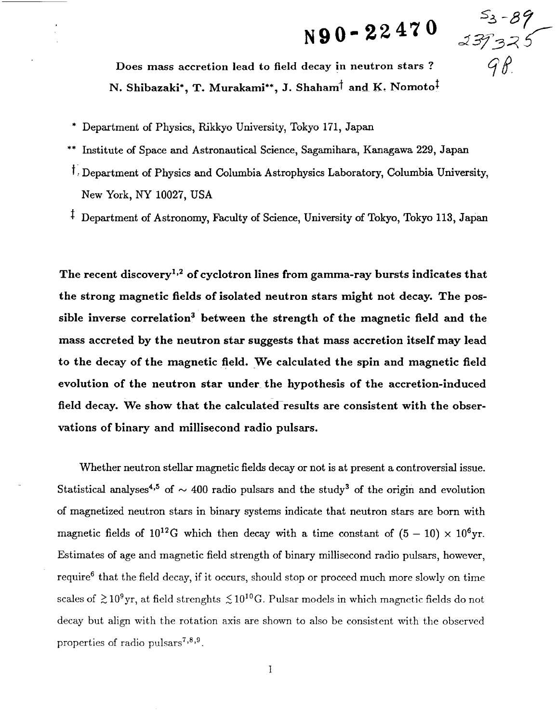## **N90-22470**

5<sub>3</sub>-89<br>\$373.75  $98$ 

**Does** mass accretion lead **to field** decay in **neutron stars ?**  $N$ . **Shibazaki\*, T.** Murakami\*\*, J. Shaham<sup>†</sup> and K. Nomoto<sup>‡</sup>

- \* Department of Physics, Rikkyo University, Tokyo 171, Japan
- \*\* Institute of Space and Astronautical Science, Sagamihara, Kanagawa 229, Japan
- t. Department of Physics and Columbia Astrophysics Laboratory, Columbia University, New York, NY 10027, USA
- <sup> $\ddagger$ </sup> Department of Astronomy, Faculty of Science, University of Tokyo, Tokyo 113, Japan

**The recent** discovery 1,2 **of cyclotron lines from** gamma-ray bursts **indicates that the strong magnetic fields of isolated neutron stars might not decay. The possible inverse correlation** 3 **between the strength of the magnetic field** and **the mass accreted by the neutron star suggests that** mass **accretion itself** may **lead to the decay of the magnetic field.** We **calculated the spin and magnetic field evolution of the neutron star under the hypothesis of the accretion-induced field decay. We show that the calculated results** are **consistent with the observations of binary and millisecond radio pulsars.**

Whether neutron stellar magnetic fields decay or not is at present a controversial issue. Statistical analyses<sup>4,5</sup> of  $\sim$  400 radio pulsars and the study<sup>3</sup> of the origin and evolution of magnetized neutron stars in binary systems indicate that neutron stars are born with magnetic fields of  $10^{12}$ G which then decay with a time constant of  $(5 - 10) \times 10^6$ yr. Estimates of age and magnetic field strength of binary millisecond radio pulsars, however, require<sup>6</sup> that the field decay, if it occurs, should stop or proceed much more slowly on time scales of  $\geq 10^9$ yr, at field strenghts  $\leq 10^{10}$ G. Pulsar models in which magnetic fields do not decay but align with the rotation axis are shown to also be consistent with the observed properties of radio pulsars<sup> $7,8,9$ </sup>.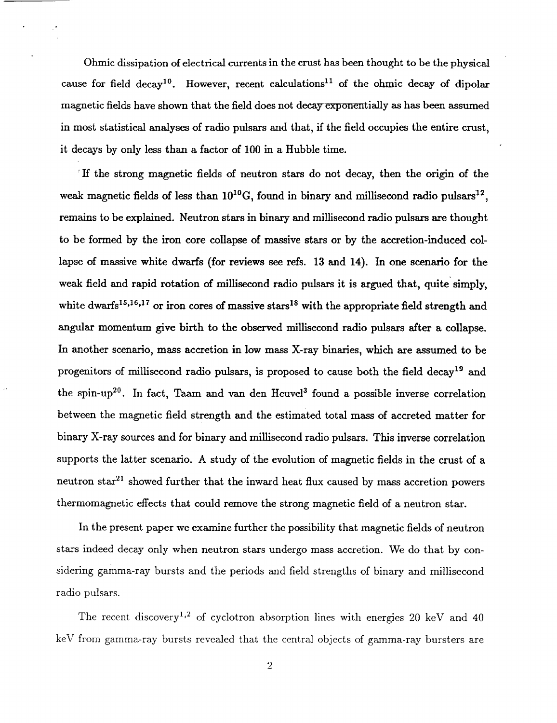Ohmic dissipation of electrical currents in the crust has been thought to be the physical cause for field decay<sup>10</sup>. However, recent calculations<sup>11</sup> of the ohmic decay of dipolar magnetic fields have shown that the field does not decay exponentially as has been assumed in most statistical analyses of radio pulsars and that, if the field occupies the entire crust, it decays by only less than a factor of 100 in a Hubble time.

If the strong magnetic fields of neutron stars do not decay, then the origin of the weak magnetic fields of less than  $10^{10}$ G, found in binary and millisecond radio pulsars<sup>12</sup>, remains to be explained. Neutron stars in binary and millisecond radio pulsars are thought to be formed by the iron core collapse of massive stars or by the accretion-induced collapse of massive white dwarfs (for reviews see refs. 13 and 14). In one scenario for the weak field and rapid rotation of millisecond radio pulsars it is argued that, quite simply, white dwarfs<sup>15,16,17</sup> or iron cores of massive stars<sup>18</sup> with the appropriate field strength and angular momentum give birth to the observed millisecond radio pulsars after a collapse. In another scenario, mass accretion in low mass X-ray binaries, which are assumed to be progenitors of millisecond radio pulsars, is proposed to cause both the field decay<sup>19</sup> and the spin-up<sup>20</sup>. In fact, Taam and van den Heuvel<sup>3</sup> found a possible inverse correlation between the magnetic field strength and the estimated total mass of accreted matter for binary X-ray sources and for binary and millisecond radio pulsars. This inverse correlation supports the latter scenario. A study of the evolution of magnetic fields in the crust of a neutron star<sup>21</sup> showed further that the inward heat flux caused by mass accretion powers thermomagnetic effects that could remove the strong magnetic field of a neutron star.

In the present paper we examine further the possibility that magnetic fields of neutron stars indeed decay only when neutron stars undergo mass accretion. We do that by considering gamma-ray bursts and the periods and field strengths of binary and millisecond radio pulsars.

The recent discovery<sup>1,2</sup> of cyclotron absorption lines with energies 20 keV and 40 keV from gamma-ray bursts revealed that the central objects of gamma-ray bursters are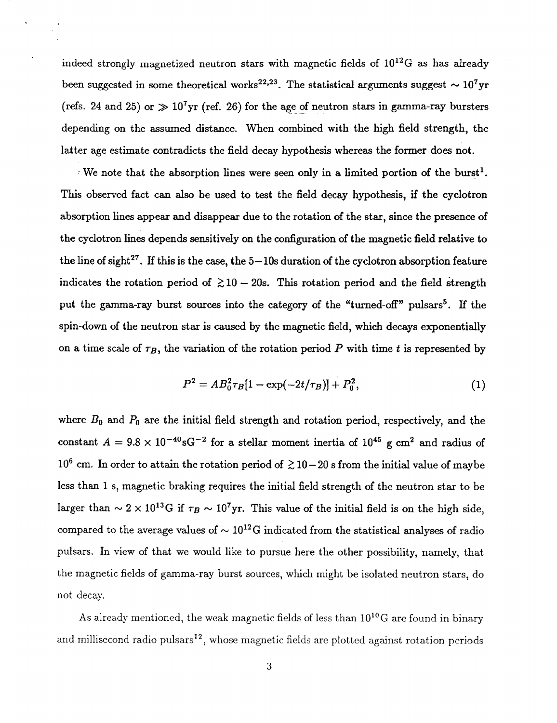indeed strongly magnetized neutron stars with magnetic fields of  $10^{12}$ G as has already been suggested in some theoretical works<sup>22,23</sup>. The statistical arguments suggest  $\sim 10^7$ yr (refs. 24 and 25) or  $\gg 10^7$ yr (ref. 26) for the age of neutron stars in gamma-ray bursters depending on the assumed distance. When combined with the high field strength, the latter age estimate contradicts the field decay hypothesis whereas the former does not.

We note that the absorption lines were seen only in a limited portion of the burst<sup>1</sup>. This observed fact can also be used to test the field decay hypothesis, if the cyclotron absorption lines appear and disappear due to the rotation of the star, since the presence of the cyclotron lines depends sensitively on the configuration of the magnetic field relative to the line of sight<sup>27</sup>. If this is the case, the  $5-10s$  duration of the cyclotron absorption feature indicates the rotation period of  $\gtrsim 10-20$ s. This rotation period and the field strength put the gamma-ray burst sources into the category of the "turned-off" pulsars<sup>5</sup>. If the spin-down of the neutron star is caused by the magnetic field, which decays exponentially on a time scale of  $\tau_B$ , the variation of the rotation period  $P$  with time  $t$  is represented by

$$
P^2 = AB_0^2 \tau_B [1 - \exp(-2t/\tau_B)] + P_0^2, \tag{1}
$$

where  $B_0$  and  $P_0$  are the initial field strength and rotation period, respectively, and the constant  $A = 9.8 \times 10^{-40} \text{sG}^{-2}$  for a stellar moment inertia of  $10^{45}$  g cm<sup>2</sup> and radius of  $10^6$  cm. In order to attain the rotation period of  $\geq 10-20$  s from the initial value of maybe less than 1 s, magnetic braking requires the initial field strength of the neutron star to be larger than  $\sim$  2 x 10<sup>13</sup>G if  $\tau_B \sim 10^7$ yr. This value of the initial field is on the high side, compared to the average values of  $\sim 10^{12}$ G indicated from the statistical analyses of radio pulsars. In view of that we would like to pursue here the other possibility, namely, that the magnetic fields of gamma-ray burst sources, which might be isolated neutron stars, do not decay.

As already mentioned, the weak magnetic fields of less than  $10^{10}$ G are found in binary and millisecond radio pulsars<sup>12</sup>, whose magnetic fields are plotted against rotation periods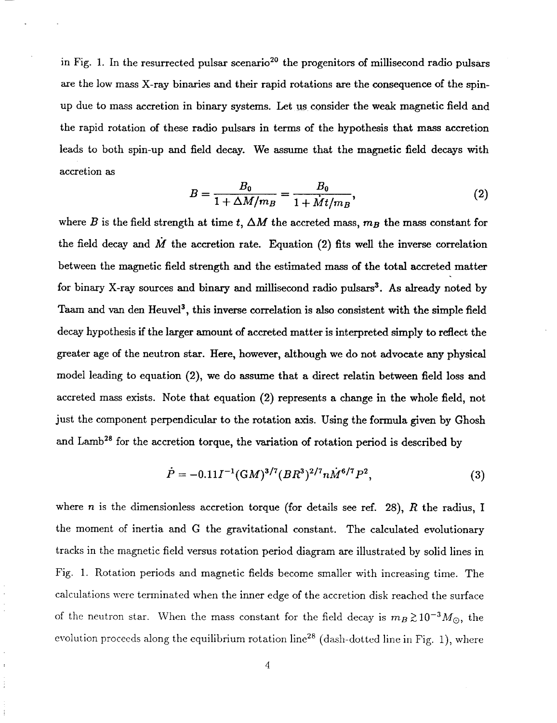in Fig. 1. In the resurrected pulsar scenario<sup>20</sup> the progenitors of millisecond radio pulsars are the low mass X-ray binaries and their rapid rotations are the consequence of the spinup due to mass accretion in binary systems. Let us consider the weak magnetic field and the rapid rotation of theseradio pulsars in terms of the hypothesis that mass accretion leads to both spin-up and field decay. We assume that the magnetic field decays with accretion as

$$
B = \frac{B_0}{1 + \Delta M/m_B} = \frac{B_0}{1 + \dot{M}t/m_B},\tag{2}
$$

where  $B$  is the field strength at time  $t$ ,  $\Delta M$  the accreted mass,  $m_B$  the mass constant for the field decay and  $\dot{M}$  the accretion rate. Equation (2) fits well the inverse correlation between the magnetic field strength and the estimated mass of the total accreted matter for binary X-ray sources and binary and millisecond radio pulsars<sup>3</sup>. As already noted by Taam and van den Heuvel<sup>3</sup>, this inverse correlation is also consistent with the simple field decay hypothesis if the larger amount of accreted matter is interpreted simply to reflect the greater age of the neutron star. Here, however, although we do not advocate any physical model leading to equation (2), we do assume that a direct relatin between field loss and accreted mass exists. Note that equation (2) represents a change in the whole field, not just the component perpendicular to the rotation axis. Using the formula given by *Ghosh* and Lamb<sup>28</sup> for the accretion torque, the variation of rotation period is described by

$$
\dot{P} = -0.11I^{-1} (GM)^{3/7} (BR^3)^{2/7} n \dot{M}^{6/7} P^2, \tag{3}
$$

where *n* is the dimensionless accretion torque (for details see ref. 28), *R* the radius, I the moment of inertia and G the gravitational constant. The calculated evolutionary tracks in the magnetic field versus rotation period diagram are illustrated by solid lines in Fig. 1. Rotation periods and magnetic fields become smaller with increasing time. The calculations were terminated when the inner edge of the accretion disk reached the surface of the neutron star. When the mass constant for the field decay is  $m_B \gtrsim 10^{-3} M_{\odot}$ , the evolution proceeds along the equilibrium rotation line<sup>28</sup> (dash-dotted line in Fig. 1), where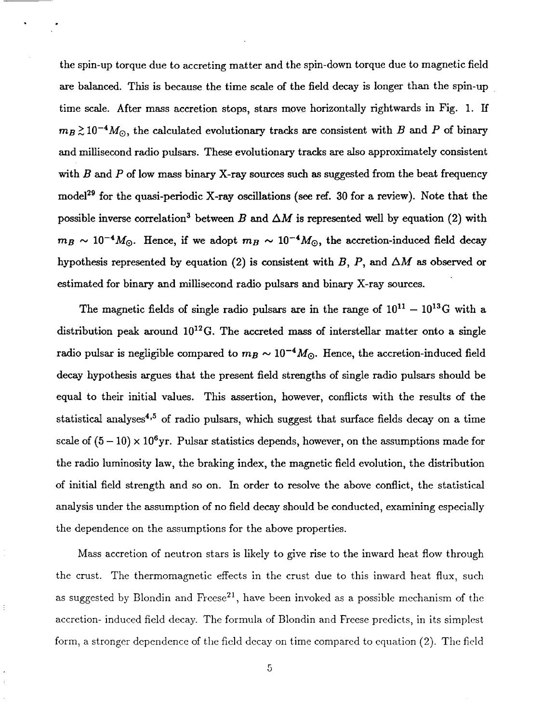the spin-up torque due to accreting matter and the spin-down torque due to magnetic field are balanced. This is because the time scale of the field decay is longer than the spin-up time scale. After mass accretion stops, stars move horizontally rightwaxds in Fig. 1. If  $m_B \gtrsim 10^{-4} M_{\odot}$ , the calculated evolutionary tracks are consistent with *B* and *P* of binary and millisecond radio pulsars. These evolutionary tracks are also approximately consistent with *B* and *P* of low mass binary X-ray sources such as suggested from the beat frequency model<sup>29</sup> for the quasi-periodic X-ray oscillations (see ref. 30 for a review). Note that the possible inverse correlation<sup>3</sup> between *B* and  $\Delta M$  is represented well by equation (2) with  $m_B \sim 10^{-4} M_{\odot}$ . Hence, if we adopt  $m_B \sim 10^{-4} M_{\odot}$ , the accretion-induced field decay hypothesis represented by equation (2) is consistent with  $B$ ,  $P$ , and  $\Delta M$  as observed or estimated for binary and millisecond radio pulsars and binary X-ray sources.

The magnetic fields of single radio pulsars are in the range of  $10^{11} - 10^{13}$ G with a distribution peak around  $10^{12}$ G. The accreted mass of interstellar matter onto a single radio pulsar is negligible compared to  $m_B \sim 10^{-4} M_{\odot}$ . Hence, the accretion-induced field decay hypothesis argues that the present field strengths of single radio pulsars should be equal to their initial values. This assertion, however, conflicts with the results of the statistical analyses<sup>4,5</sup> of radio pulsars, which suggest that surface fields decay on a time scale of  $(5-10) \times 10^6$ yr. Pulsar statistics depends, however, on the assumptions made for the radio luminosity law, the braking index, the magnetic field evolution, the distribution of initial field strength and so on. In order to resolve the above conflict, the statistical analysis under the assumption of no field decay should be conducted, examining especially the dependence on the assumptions for the above properties.

Mass accretion of neutron stars is likely to give rise to the inward heat flow through the crust. The thermomagnetic effects in the crust due to this inward heat flux, such as suggested by Blondin and Freese<sup>21</sup>, have been invoked as a possible mechanism of the accretion- induced field decay. *The* formula of Blondin and Freese predicts, in its simplest form, a stronger dependence of the field decay on time compared to equation (2). The field

É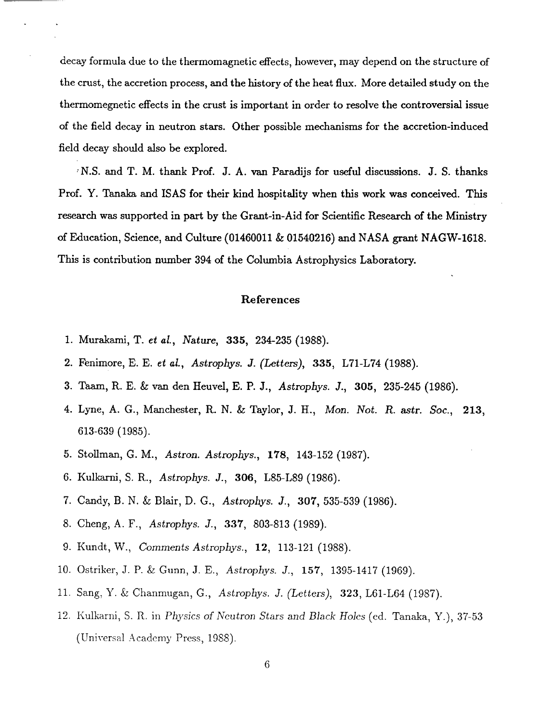decay formula due to the thermomagnetic effects, however, may depend on the structure of the crust, the accretion process, and the history of the heat flux. More detailed study on the thermomegnetic effects in the crust is important in order to **resolve** the controversial issue of the field decay in neutron **stars.** Other possible mechanisms for the accretion-induced field decay **should** also be explored.

*'* N.S. and T. M. **thank Prof.** J. A. van Paraclijs for useful discussions. J. S. thanks **Prof. Y.** Tanaka and ISAS for **their** kind hospitality when this work was conceived. This **research** was supported in part by the Grant-in-Aid for Scientific Research of the Ministry of Education, Science, and *Culture* (01460011 *8,* 01540216) and NASA grant NAGW-1618. This is contribution number 394 of the Columbia Astrophysics Laboratory.

## References

- 1. Murakami, T. *et at, Nature,* 335, 234-235 (1988).
- 2. Fenimore, E. E. *et al., Astrophys. J. (Letters),* 335, L71-L74 (1988).
- 3. Taam, R. E. & van den Heuvel, E. P. J., Astrophys. J., 305, 235-245 (1986).
- 4. Lyne, A. G., Manchester, R. N. & Taylor, J. H., *Mon. Not.* R. astr. *Soc.,* 213, 613-639 (1985).
- 5. Stollman, G. M., *Astron. Astrophys.,* 178, 143-152 (1987).
- 6. Kulkarni, S. R., *Astrophys. J.,* 306, *L85-L89* (1986).
- 7. Candy, B. N. & Blair, *D.* G., *Astrophys. J.,* **307,** 535-539 (1986).
- 8. Cheng, A. F., *Astrophys. J.,* **337,** 803-813 (1989).
- 9. Kundt, W., *Comments Astrophys.,* 12, 113-121 (1988).
- 10. Ostriker, J. P. \_ *Gunn,* J. E., *Astrophys. J.,* 157, 1395-1417 (1969).
- 11. Sang, Y. \_ Chanmugan, G., *Astrophys. j. (Letters),* 323, L61-L64 (1987).
- 12. KuIkarni, S. R. in *Physics of* Neutron *Stars* and *Black HoIes* (ed. Tanaka, Y.), 37-53 (Universal Academy Press, 1988).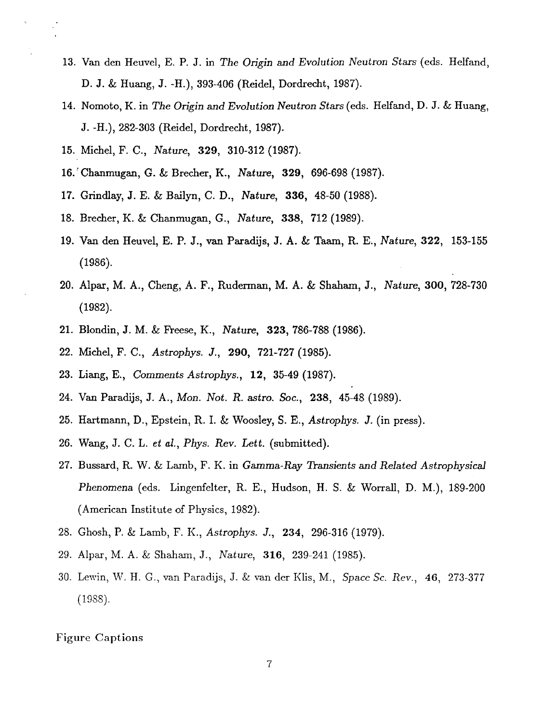- 13. Van den Heuvel, E. P. *J.* in *The Origin* and *Evolution Neutron Stars* (eds. Helfand, D. *J.* & Huang, *J.* -H.), 393-406 (Reidel, Dordrecht, 1987).
- 14. Nomoto, K. in *The Origin* and Evolution *Neutron Stars* (eds. Helfand, D. *J.* & Huang, J.-H.), 282-303 (Reidel, Dordrecht, 1987).
- 15. Michel, F. C., *Nature,* 329, 310-312 (1987).
- **16.:** Chanmugan, G. & Brecher, K., *Nature,* 329, 696-698 (1987).
- 17. Grindlay, **J.** E. & Bailyn, C. D., *Nature,* **336, 48-50** (1988).
- 18. Brecher, K. & Chanmugan, G., *Nature,* 338, **712** (1989).
- 19. Van den Heuvel, E. P. J., van Paradijs, J. A. & Taam, R. E., *Nature*, 322, 153-15 (1986).
- 20. Alpar, M. A., Cheng, A. F., Ruderman, M. A. & Shaham, J., *Nature,* **300,** 728-730 (1982).
- 21. Blondin, J. M. & **Ft-eese,** K., *Nature,* **323,** 786-788 (1986).
- 22. **Michel,** F. *C., Astrophys. J.,* 290, 721-727 (1985).
- 23. *Liang,* E., *Comments Astrophys.,* 12, **35-49** (1987).
- 24. Van Paradijs, J. A., *Mon. Not.* R. astro. *Soc.,* 238, 45-48 (1989).
- 25. Hartmann, D., Epstein, R. I. & Woosley, S. E., *Astrophys. J.* (in press).
- 26. Wang, J. C. L. *et al.*, *Phys. Rev. Lett.* (submitt
- 27. Bussard, R. W. & Lamb, F. K. in *Gamma-Ray Transients and Related Astrophy Phenomena* (eds. Lingenfelter, R. E., Hudson, H. S. & Worrall, D. M.), 189-200 (American Institute of Physics, 1982).
- 28. Ghosh, P. & Lamb, F. K., *Astrophys.* J., 234, 296-316 (1979).
- 29. Alpar, M. A. & Shaha\_m, J., *Nature,* 316, 239-241 (1985).
- 30. Lewin, **W.** H. **G.,** van Paradijs, J. **&** van der *Klis,* M., *Space Sc. Rev.,* 46, *273-377* (1988).

## Figure Captions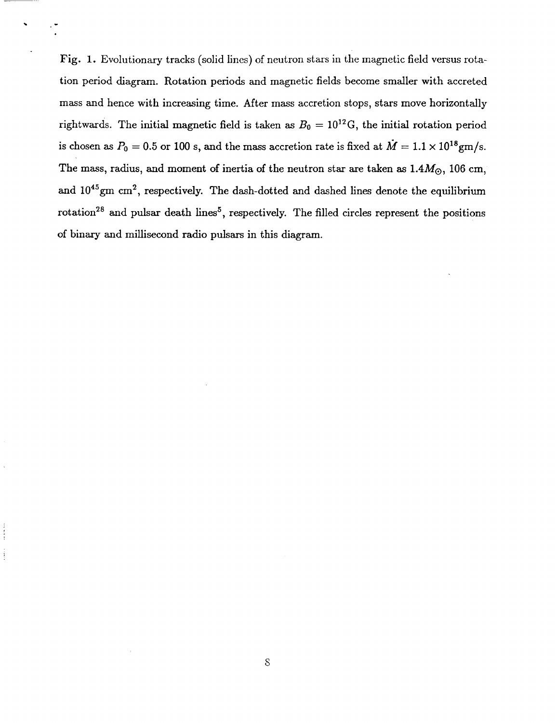Fig. 1. Evolutionary tracks (solid lines) of neutron stars in the magnetic field versus rotation period diagram. Rotation periods and magnetic fields becomesmaller with accreted mass and hence with increasing time. After mass accretion stops, stars move horizontally rightwards. The initial magnetic field is taken as  $B_0 = 10^{12}$ G, the initial rotation period is chosen as  $P_0 = 0.5$  or 100 s, and the mass accretion rate is fixed at  $\dot{M} = 1.1 \times 10^{18}$ gm/s. The mass, radius, and moment of inertia of the neutron star are taken as  $1.4M_{\odot}$ , 106 cm, and  $10^{45}$ gm cm<sup>2</sup>, respectively. The dash-dotted and dashed lines denote the equilibrium rotation<sup>28</sup> and pulsar death lines<sup>5</sup>, respectively. The filled circles represent the positions of binary and millisecond radio pulsars in this diagram.